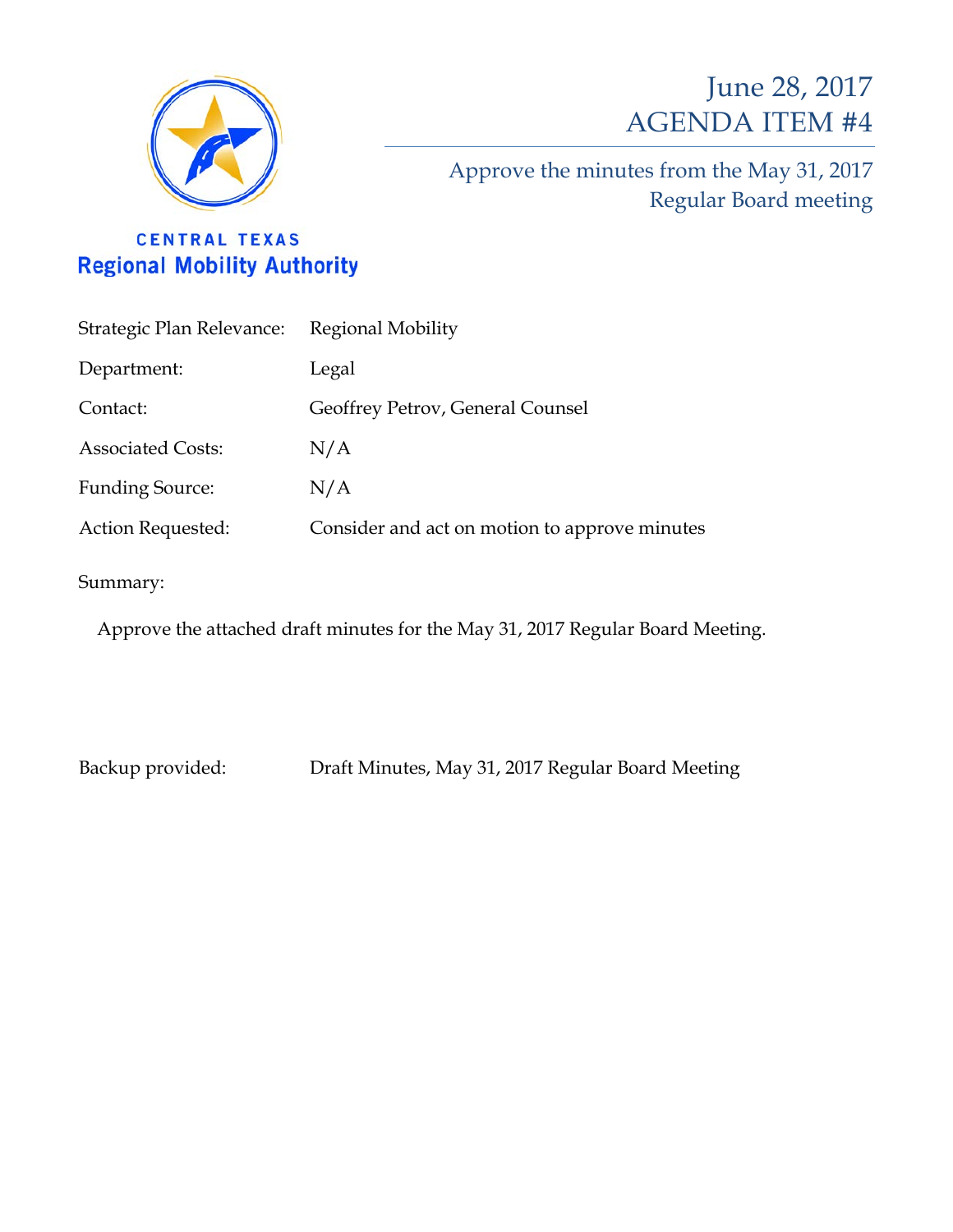

# June 28, 2017 AGENDA ITEM #4

Approve the minutes from the May 31, 2017 Regular Board meeting

# **CENTRAL TEXAS Regional Mobility Authority**

| Strategic Plan Relevance: Regional Mobility |                                               |
|---------------------------------------------|-----------------------------------------------|
| Department:                                 | Legal                                         |
| Contact:                                    | Geoffrey Petrov, General Counsel              |
| <b>Associated Costs:</b>                    | N/A                                           |
| <b>Funding Source:</b>                      | N/A                                           |
| Action Requested:                           | Consider and act on motion to approve minutes |
|                                             |                                               |

Summary:

Approve the attached draft minutes for the May 31, 2017 Regular Board Meeting.

Backup provided: Draft Minutes, May 31, 2017 Regular Board Meeting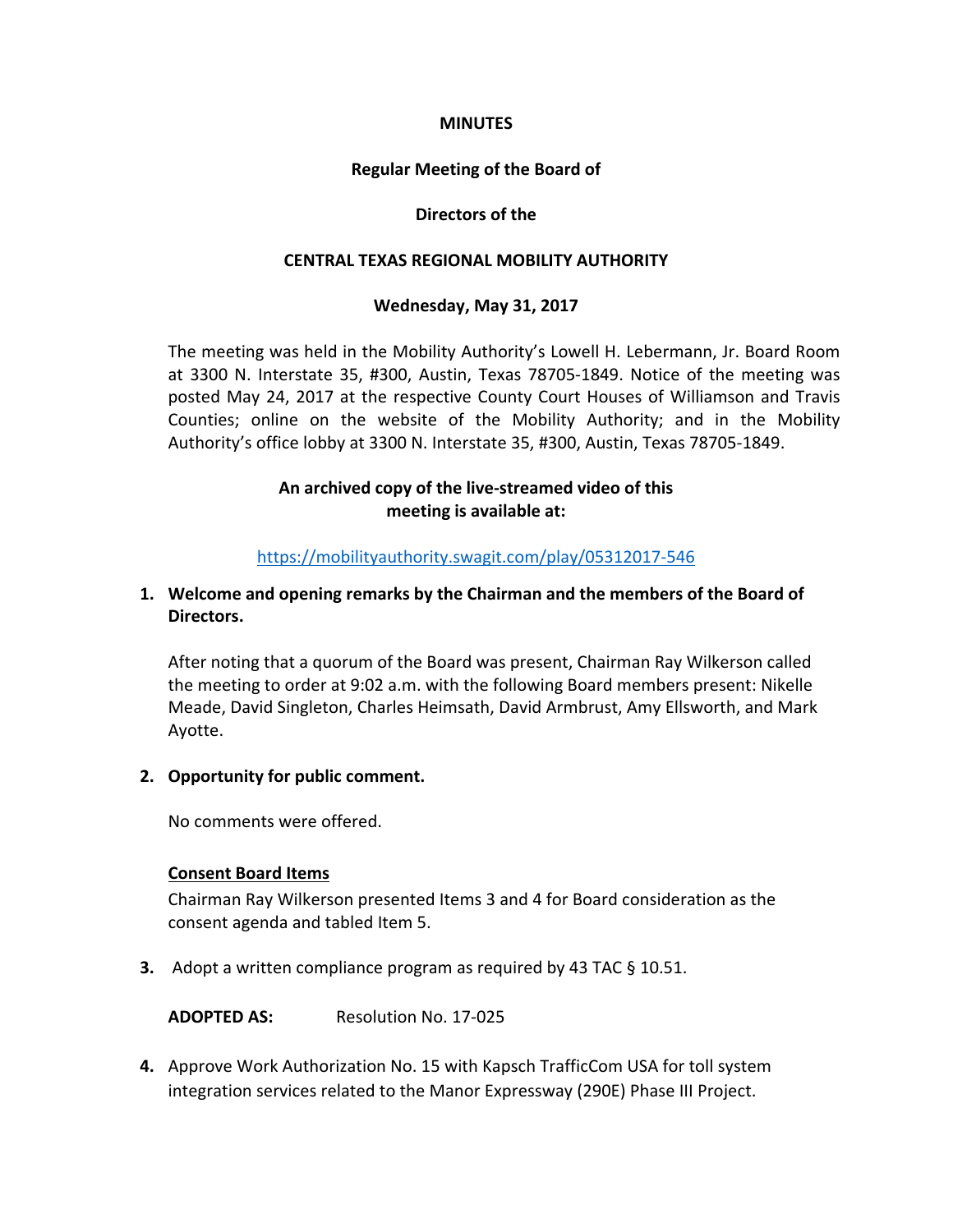#### **MINUTES**

#### **Regular Meeting of the Board of**

#### **Directors of the**

#### **CENTRAL TEXAS REGIONAL MOBILITY AUTHORITY**

#### **Wednesday, May 31, 2017**

The meeting was held in the Mobility Authority's Lowell H. Lebermann, Jr. Board Room at 3300 N. Interstate 35, #300, Austin, Texas 78705-1849. Notice of the meeting was posted May 24, 2017 at the respective County Court Houses of Williamson and Travis Counties; online on the website of the Mobility Authority; and in the Mobility Authority's office lobby at 3300 N. Interstate 35, #300, Austin, Texas 78705-1849.

### **An archived copy of the live-streamed video of this meeting is available at:**

#### <https://mobilityauthority.swagit.com/play/05312017-546>

# **1. Welcome and opening remarks by the Chairman and the members of the Board of Directors.**

After noting that a quorum of the Board was present, Chairman Ray Wilkerson called the meeting to order at 9:02 a.m. with the following Board members present: Nikelle Meade, David Singleton, Charles Heimsath, David Armbrust, Amy Ellsworth, and Mark Ayotte.

#### **2. Opportunity for public comment.**

No comments were offered.

#### **Consent Board Items**

Chairman Ray Wilkerson presented Items 3 and 4 for Board consideration as the consent agenda and tabled Item 5.

**3.** Adopt a written compliance program as required by 43 TAC § 10.51.

**ADOPTED AS:** Resolution No. 17-025

**4.** Approve Work Authorization No. 15 with Kapsch TrafficCom USA for toll system integration services related to the Manor Expressway (290E) Phase III Project.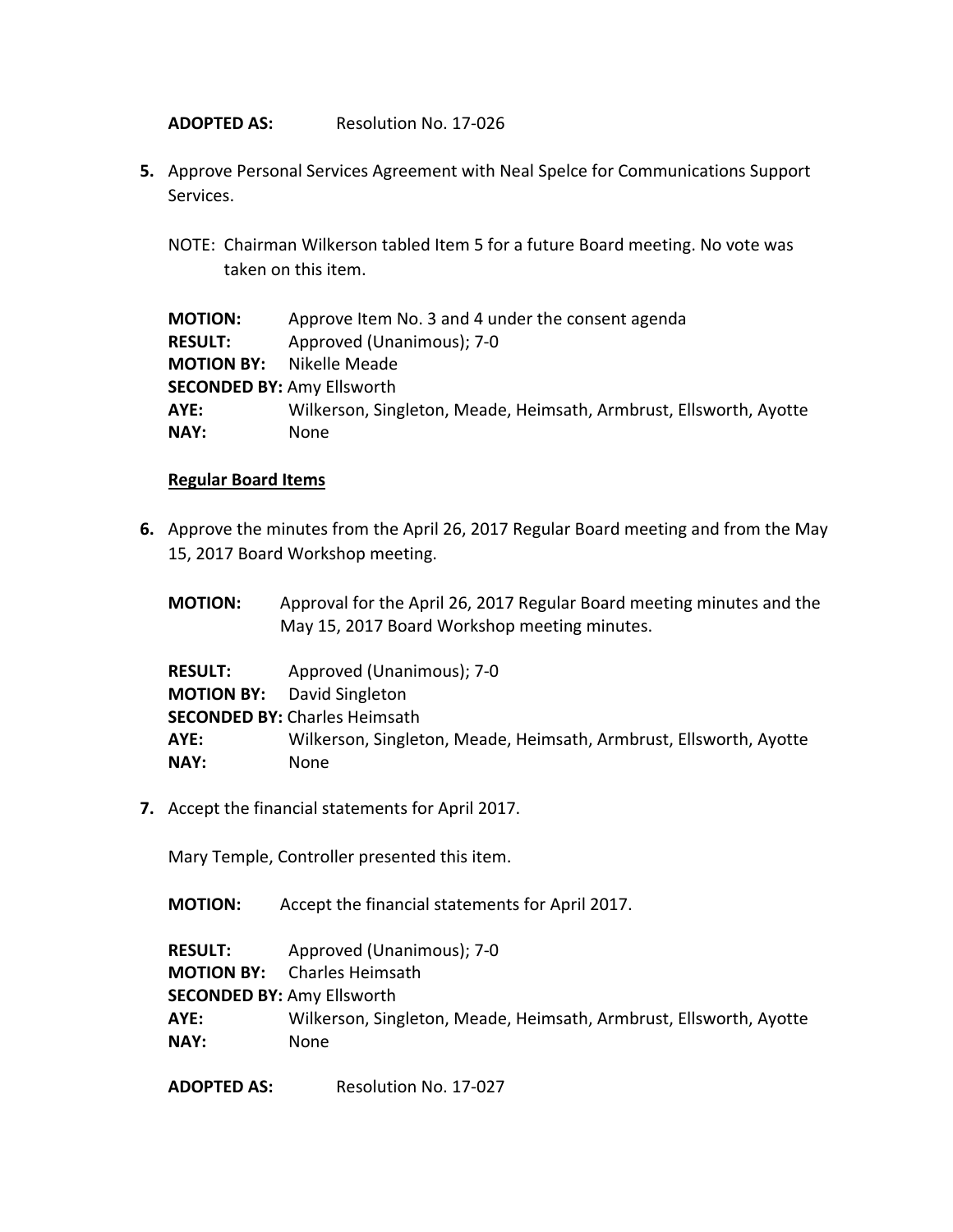**ADOPTED AS:** Resolution No. 17-026

- **5.** Approve Personal Services Agreement with Neal Spelce for Communications Support Services.
	- NOTE: Chairman Wilkerson tabled Item 5 for a future Board meeting. No vote was taken on this item.

| <b>MOTION:</b>                    | Approve Item No. 3 and 4 under the consent agenda                  |
|-----------------------------------|--------------------------------------------------------------------|
| <b>RESULT:</b>                    | Approved (Unanimous); 7-0                                          |
| <b>MOTION BY:</b> Nikelle Meade   |                                                                    |
| <b>SECONDED BY: Amy Ellsworth</b> |                                                                    |
| AYE:                              | Wilkerson, Singleton, Meade, Heimsath, Armbrust, Ellsworth, Ayotte |
| NAY:                              | None                                                               |

#### **Regular Board Items**

- **6.** Approve the minutes from the April 26, 2017 Regular Board meeting and from the May 15, 2017 Board Workshop meeting.
	- **MOTION:** Approval for the April 26, 2017 Regular Board meeting minutes and the May 15, 2017 Board Workshop meeting minutes.

| <b>RESULT:</b> | Approved (Unanimous); 7-0                                          |
|----------------|--------------------------------------------------------------------|
|                | <b>MOTION BY:</b> David Singleton                                  |
|                | <b>SECONDED BY: Charles Heimsath</b>                               |
| AYE:           | Wilkerson, Singleton, Meade, Heimsath, Armbrust, Ellsworth, Ayotte |
| <b>NAY:</b>    | <b>None</b>                                                        |

**7.** Accept the financial statements for April 2017.

Mary Temple, Controller presented this item.

**MOTION:** Accept the financial statements for April 2017.

**RESULT:** Approved (Unanimous); 7-0

**MOTION BY:** Charles Heimsath

**SECONDED BY:** Amy Ellsworth

**AYE:** Wilkerson, Singleton, Meade, Heimsath, Armbrust, Ellsworth, Ayotte **NAY:** None

**ADOPTED AS:** Resolution No. 17-027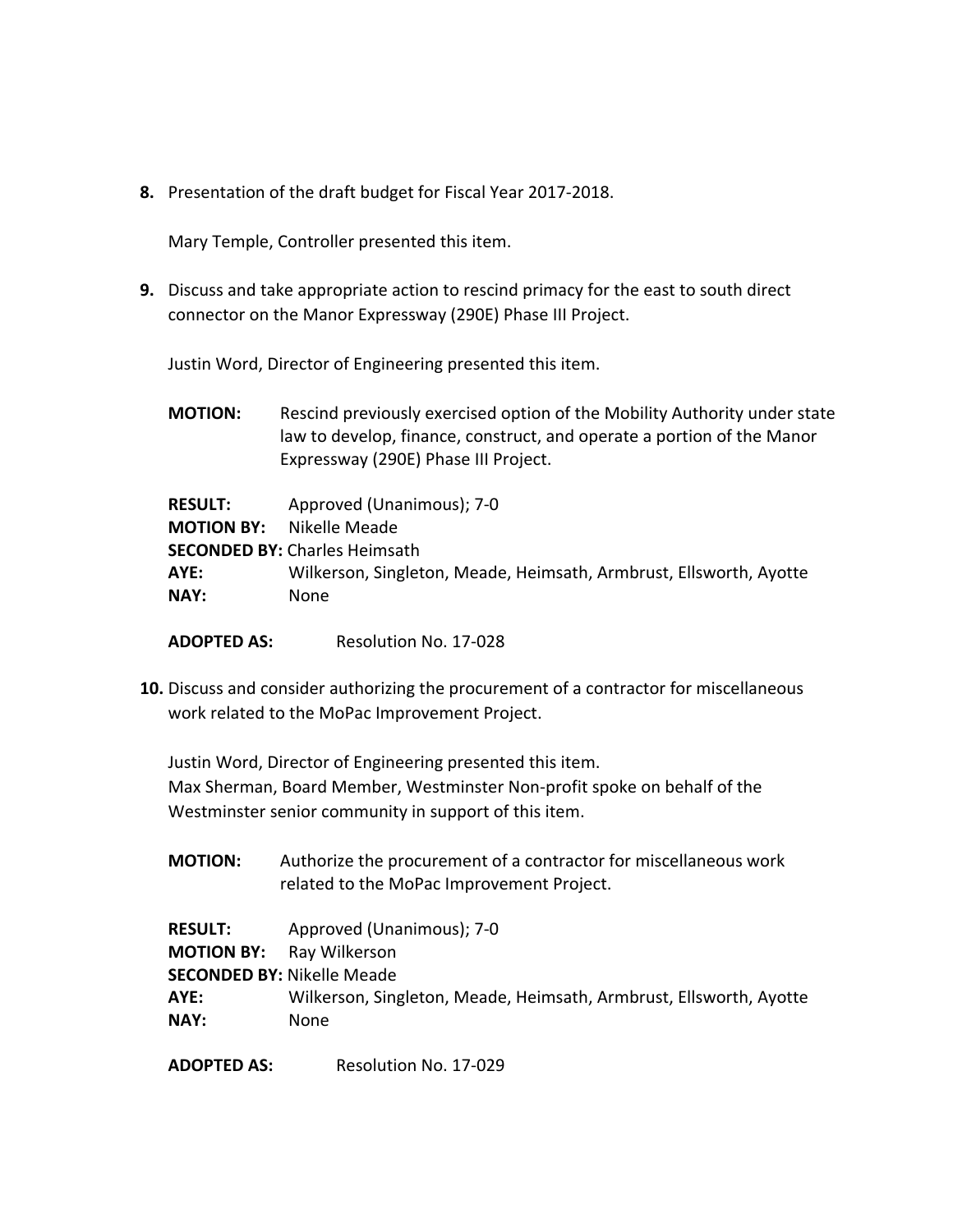**8.** Presentation of the draft budget for Fiscal Year 2017-2018.

Mary Temple, Controller presented this item.

**9.** Discuss and take appropriate action to rescind primacy for the east to south direct connector on the Manor Expressway (290E) Phase III Project.

Justin Word, Director of Engineering presented this item.

**MOTION:** Rescind previously exercised option of the Mobility Authority under state law to develop, finance, construct, and operate a portion of the Manor Expressway (290E) Phase III Project.

| <b>RESULT:</b>    | Approved (Unanimous); 7-0                                          |
|-------------------|--------------------------------------------------------------------|
| <b>MOTION BY:</b> | Nikelle Meade                                                      |
|                   | <b>SECONDED BY: Charles Heimsath</b>                               |
| AYE:              | Wilkerson, Singleton, Meade, Heimsath, Armbrust, Ellsworth, Ayotte |
| NAY:              | <b>None</b>                                                        |
|                   |                                                                    |

**ADOPTED AS:** Resolution No. 17-028

**10.** Discuss and consider authorizing the procurement of a contractor for miscellaneous work related to the MoPac Improvement Project.

Justin Word, Director of Engineering presented this item. Max Sherman, Board Member, Westminster Non-profit spoke on behalf of the Westminster senior community in support of this item.

**MOTION:** Authorize the procurement of a contractor for miscellaneous work related to the MoPac Improvement Project.

| <b>RESULT:</b>                    | Approved (Unanimous); 7-0                                          |
|-----------------------------------|--------------------------------------------------------------------|
| <b>MOTION BY:</b> Ray Wilkerson   |                                                                    |
| <b>SECONDED BY: Nikelle Meade</b> |                                                                    |
| AYE:                              | Wilkerson, Singleton, Meade, Heimsath, Armbrust, Ellsworth, Ayotte |
| <b>NAY:</b>                       | <b>None</b>                                                        |

**ADOPTED AS:** Resolution No. 17-029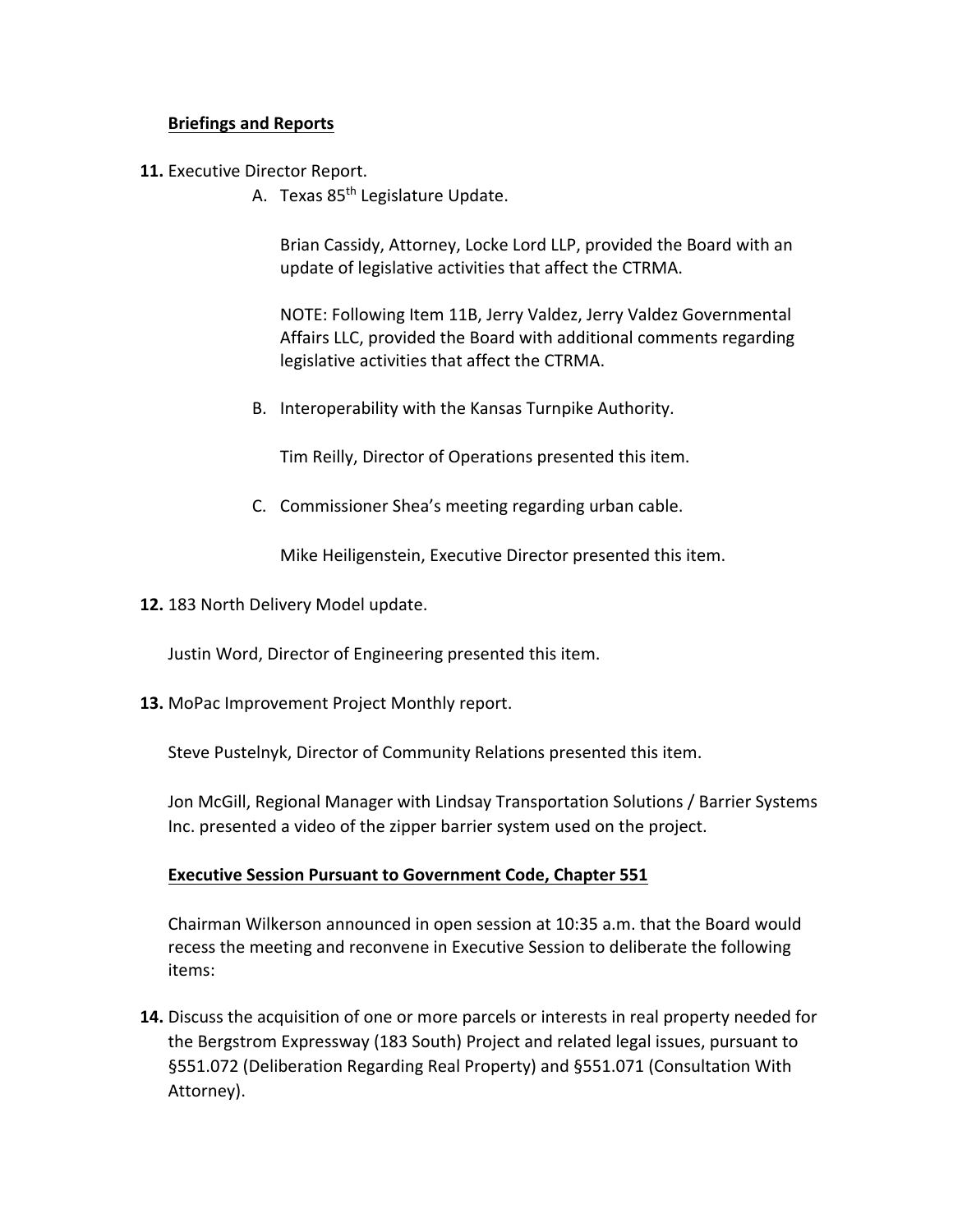# **Briefings and Reports**

- **11.** Executive Director Report.
	- A. Texas 85<sup>th</sup> Legislature Update.

Brian Cassidy, Attorney, Locke Lord LLP, provided the Board with an update of legislative activities that affect the CTRMA.

NOTE: Following Item 11B, Jerry Valdez, Jerry Valdez Governmental Affairs LLC, provided the Board with additional comments regarding legislative activities that affect the CTRMA.

B. Interoperability with the Kansas Turnpike Authority.

Tim Reilly, Director of Operations presented this item.

C. Commissioner Shea's meeting regarding urban cable.

Mike Heiligenstein, Executive Director presented this item.

**12.** 183 North Delivery Model update.

Justin Word, Director of Engineering presented this item.

**13.** MoPac Improvement Project Monthly report.

Steve Pustelnyk, Director of Community Relations presented this item.

Jon McGill, Regional Manager with Lindsay Transportation Solutions / Barrier Systems Inc. presented a video of the zipper barrier system used on the project.

#### **Executive Session Pursuant to Government Code, Chapter 551**

Chairman Wilkerson announced in open session at 10:35 a.m. that the Board would recess the meeting and reconvene in Executive Session to deliberate the following items:

**14.** Discuss the acquisition of one or more parcels or interests in real property needed for the Bergstrom Expressway (183 South) Project and related legal issues, pursuant to §551.072 (Deliberation Regarding Real Property) and §551.071 (Consultation With Attorney).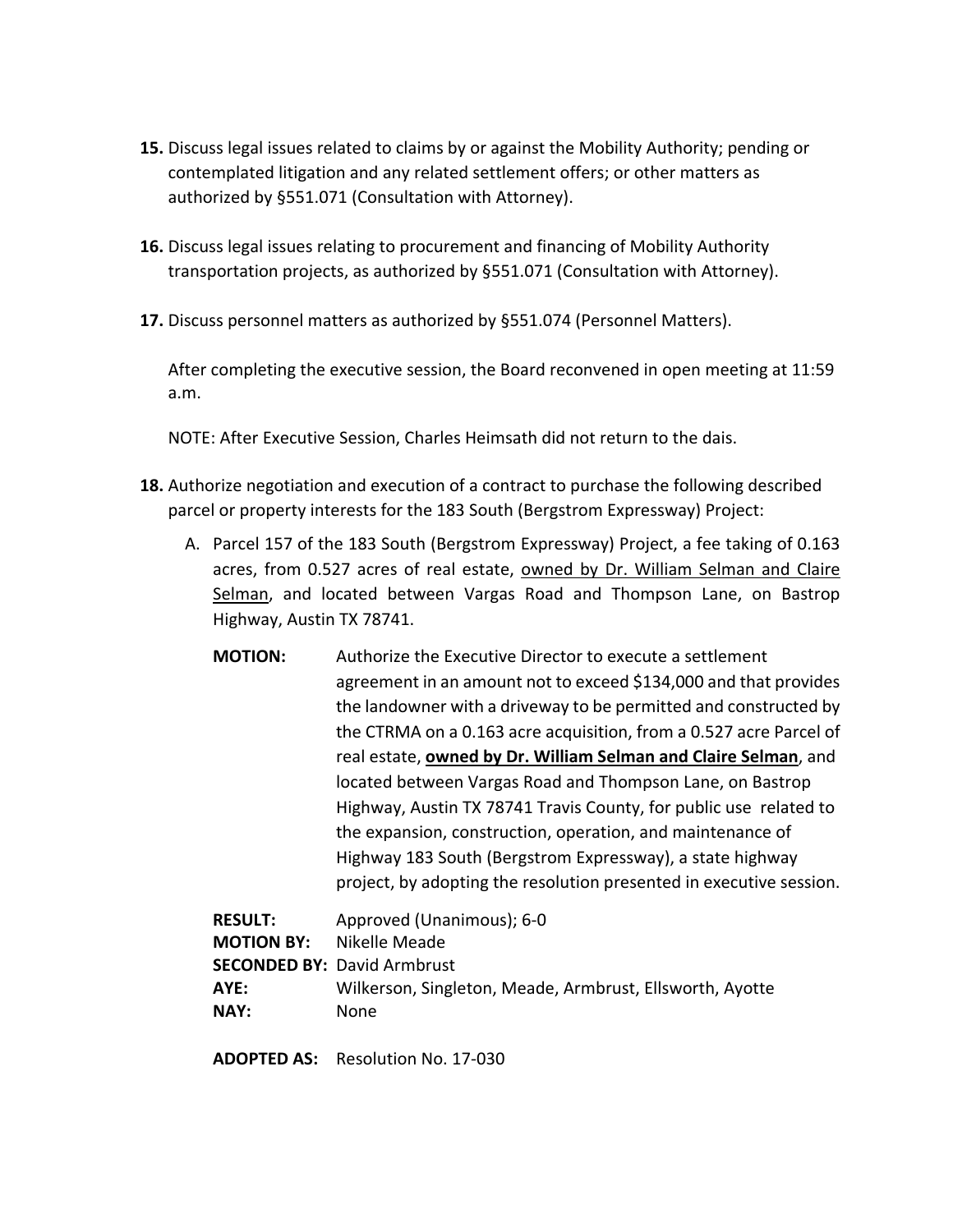- **15.** Discuss legal issues related to claims by or against the Mobility Authority; pending or contemplated litigation and any related settlement offers; or other matters as authorized by §551.071 (Consultation with Attorney).
- **16.** Discuss legal issues relating to procurement and financing of Mobility Authority transportation projects, as authorized by §551.071 (Consultation with Attorney).
- **17.** Discuss personnel matters as authorized by §551.074 (Personnel Matters).

After completing the executive session, the Board reconvened in open meeting at 11:59 a.m.

NOTE: After Executive Session, Charles Heimsath did not return to the dais.

- **18.** Authorize negotiation and execution of a contract to purchase the following described parcel or property interests for the 183 South (Bergstrom Expressway) Project:
	- A. Parcel 157 of the 183 South (Bergstrom Expressway) Project, a fee taking of 0.163 acres, from 0.527 acres of real estate, owned by Dr. William Selman and Claire Selman, and located between Vargas Road and Thompson Lane, on Bastrop Highway, Austin TX 78741.
		- **MOTION:** Authorize the Executive Director to execute a settlement agreement in an amount not to exceed \$134,000 and that provides the landowner with a driveway to be permitted and constructed by the CTRMA on a 0.163 acre acquisition, from a 0.527 acre Parcel of real estate, **owned by Dr. William Selman and Claire Selman**, and located between Vargas Road and Thompson Lane, on Bastrop Highway, Austin TX 78741 Travis County, for public use related to the expansion, construction, operation, and maintenance of Highway 183 South (Bergstrom Expressway), a state highway project, by adopting the resolution presented in executive session.

| <b>RESULT:</b>    | Approved (Unanimous); 6-0                                |
|-------------------|----------------------------------------------------------|
| <b>MOTION BY:</b> | Nikelle Meade                                            |
|                   | <b>SECONDED BY: David Armbrust</b>                       |
| AYE:              | Wilkerson, Singleton, Meade, Armbrust, Ellsworth, Ayotte |
| NAY:              | <b>None</b>                                              |

**ADOPTED AS:** Resolution No. 17-030